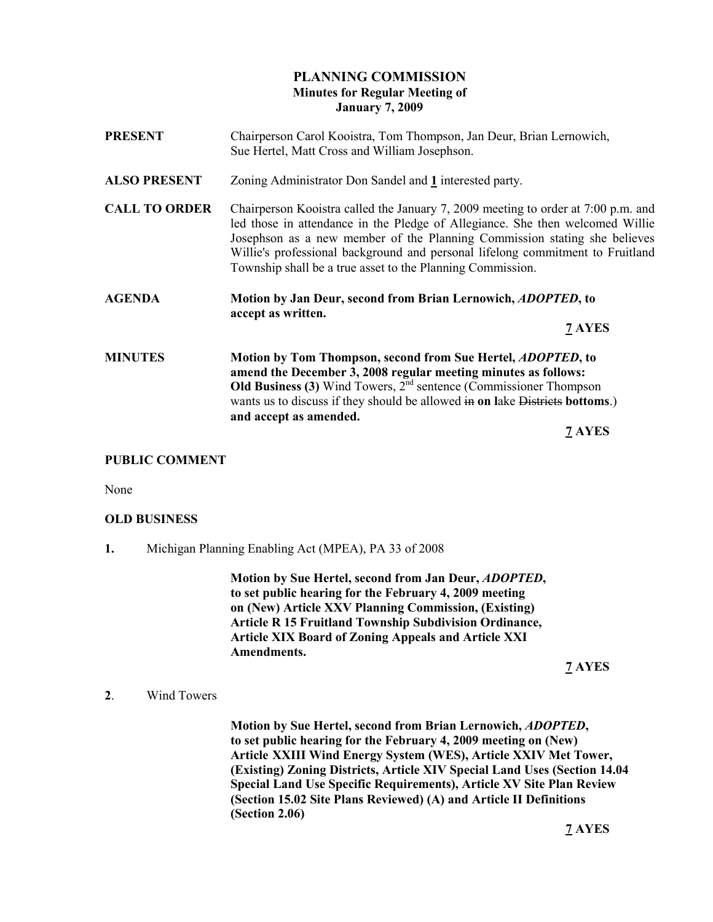# PLANNING COMMISSION Minutes for Regular Meeting of January 7, 2009

| <b>PRESENT</b>       | Chairperson Carol Kooistra, Tom Thompson, Jan Deur, Brian Lernowich,<br>Sue Hertel, Matt Cross and William Josephson.                                                                                                                                                                                                                                                                           |  |
|----------------------|-------------------------------------------------------------------------------------------------------------------------------------------------------------------------------------------------------------------------------------------------------------------------------------------------------------------------------------------------------------------------------------------------|--|
| <b>ALSO PRESENT</b>  | Zoning Administrator Don Sandel and 1 interested party.                                                                                                                                                                                                                                                                                                                                         |  |
| <b>CALL TO ORDER</b> | Chairperson Kooistra called the January 7, 2009 meeting to order at 7:00 p.m. and<br>led those in attendance in the Pledge of Allegiance. She then welcomed Willie<br>Josephson as a new member of the Planning Commission stating she believes<br>Willie's professional background and personal lifelong commitment to Fruitland<br>Township shall be a true asset to the Planning Commission. |  |
| <b>AGENDA</b>        | Motion by Jan Deur, second from Brian Lernowich, <i>ADOPTED</i> , to<br>accept as written.                                                                                                                                                                                                                                                                                                      |  |
|                      | $7$ AYES                                                                                                                                                                                                                                                                                                                                                                                        |  |
| <b>MINUTES</b>       | Motion by Tom Thompson, second from Sue Hertel, <i>ADOPTED</i> , to<br>amend the December 3, 2008 regular meeting minutes as follows:<br><b>Old Business (3)</b> Wind Towers, $2nd$ sentence (Commissioner Thompson<br>wants us to discuss if they should be allowed in on lake Districts bottoms.)<br>and accept as amended.                                                                   |  |
|                      | 7 AYES                                                                                                                                                                                                                                                                                                                                                                                          |  |

# PUBLIC COMMENT

None

### OLD BUSINESS

1. Michigan Planning Enabling Act (MPEA), PA 33 of 2008

 Motion by Sue Hertel, second from Jan Deur, ADOPTED, to set public hearing for the February 4, 2009 meeting on (New) Article XXV Planning Commission, (Existing) Article R 15 Fruitland Township Subdivision Ordinance, Article XIX Board of Zoning Appeals and Article XXI Amendments.

7 AYES

2. Wind Towers

 Motion by Sue Hertel, second from Brian Lernowich, ADOPTED, to set public hearing for the February 4, 2009 meeting on (New) Article XXIII Wind Energy System (WES), Article XXIV Met Tower, (Existing) Zoning Districts, Article XIV Special Land Uses (Section 14.04 Special Land Use Specific Requirements), Article XV Site Plan Review (Section 15.02 Site Plans Reviewed) (A) and Article II Definitions (Section 2.06)

7 AYES